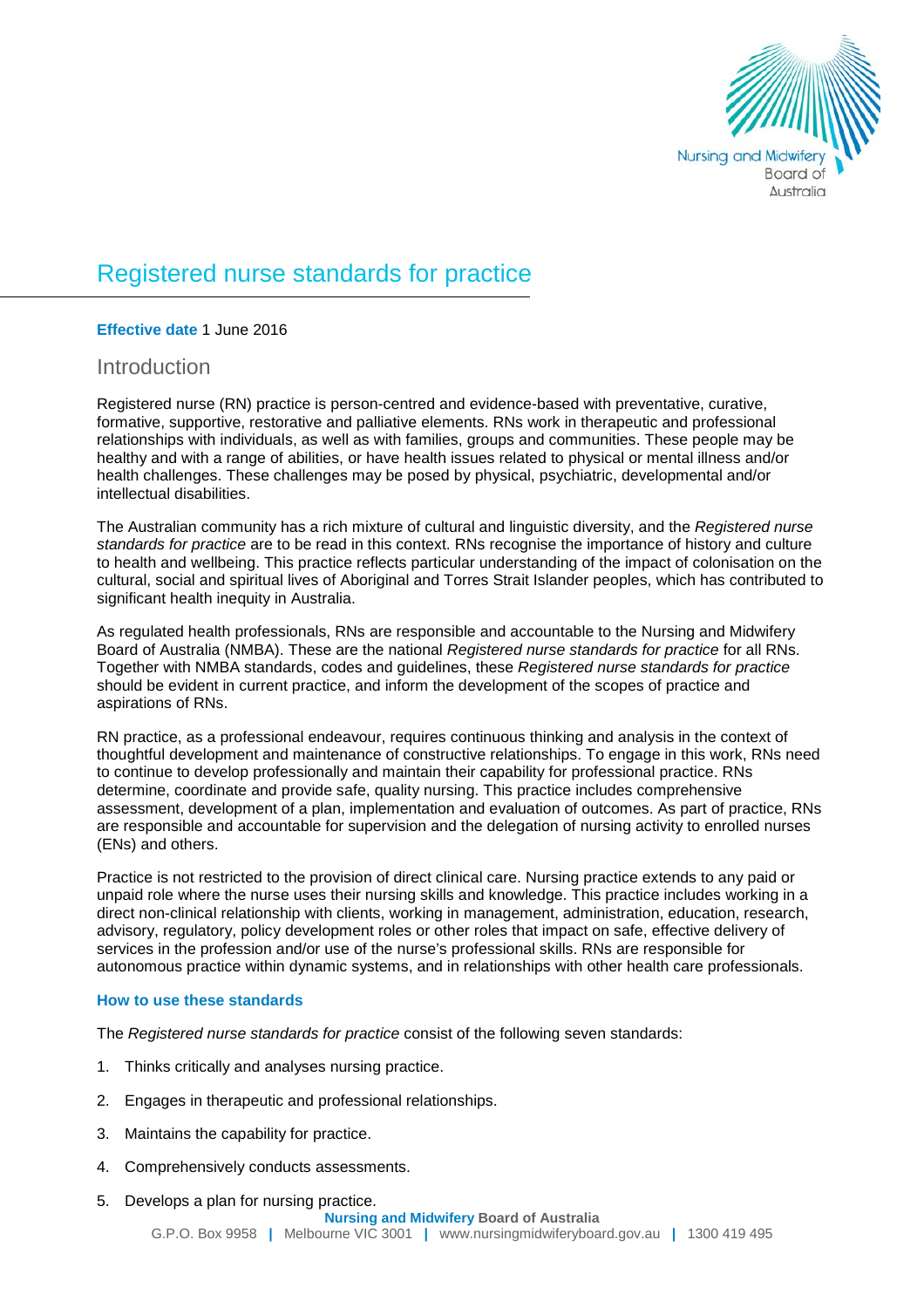

# Registered nurse standards for practice

### **Effective date** 1 June 2016

### **Introduction**

Registered nurse (RN) practice is person-centred and evidence-based with preventative, curative, formative, supportive, restorative and palliative elements. RNs work in therapeutic and professional relationships with individuals, as well as with families, groups and communities. These people may be healthy and with a range of abilities, or have health issues related to physical or mental illness and/or health challenges. These challenges may be posed by physical, psychiatric, developmental and/or intellectual disabilities.

The Australian community has a rich mixture of cultural and linguistic diversity, and the *Registered nurse standards for practice* are to be read in this context. RNs recognise the importance of history and culture to health and wellbeing. This practice reflects particular understanding of the impact of colonisation on the cultural, social and spiritual lives of Aboriginal and Torres Strait Islander peoples, which has contributed to significant health inequity in Australia.

As regulated health professionals, RNs are responsible and accountable to the Nursing and Midwifery Board of Australia (NMBA). These are the national *Registered nurse standards for practice* for all RNs. Together with NMBA standards, codes and guidelines, these *Registered nurse standards for practice* should be evident in current practice, and inform the development of the scopes of practice and aspirations of RNs.

RN practice, as a professional endeavour, requires continuous thinking and analysis in the context of thoughtful development and maintenance of constructive relationships. To engage in this work, RNs need to continue to develop professionally and maintain their capability for professional practice. RNs determine, coordinate and provide safe, quality nursing. This practice includes comprehensive assessment, development of a plan, implementation and evaluation of outcomes. As part of practice, RNs are responsible and accountable for supervision and the delegation of nursing activity to enrolled nurses (ENs) and others.

Practice is not restricted to the provision of direct clinical care. Nursing practice extends to any paid or unpaid role where the nurse uses their nursing skills and knowledge. This practice includes working in a direct non-clinical relationship with clients, working in management, administration, education, research, advisory, regulatory, policy development roles or other roles that impact on safe, effective delivery of services in the profession and/or use of the nurse's professional skills. RNs are responsible for autonomous practice within dynamic systems, and in relationships with other health care professionals.

### **How to use these standards**

The *Registered nurse standards for practice* consist of the following seven standards:

- 1. Thinks critically and analyses nursing practice.
- 2. Engages in therapeutic and professional relationships.
- 3. Maintains the capability for practice.
- 4. Comprehensively conducts assessments.
- 5. Develops a plan for nursing practice.

#### **Nursing and Midwifery Board of Australia**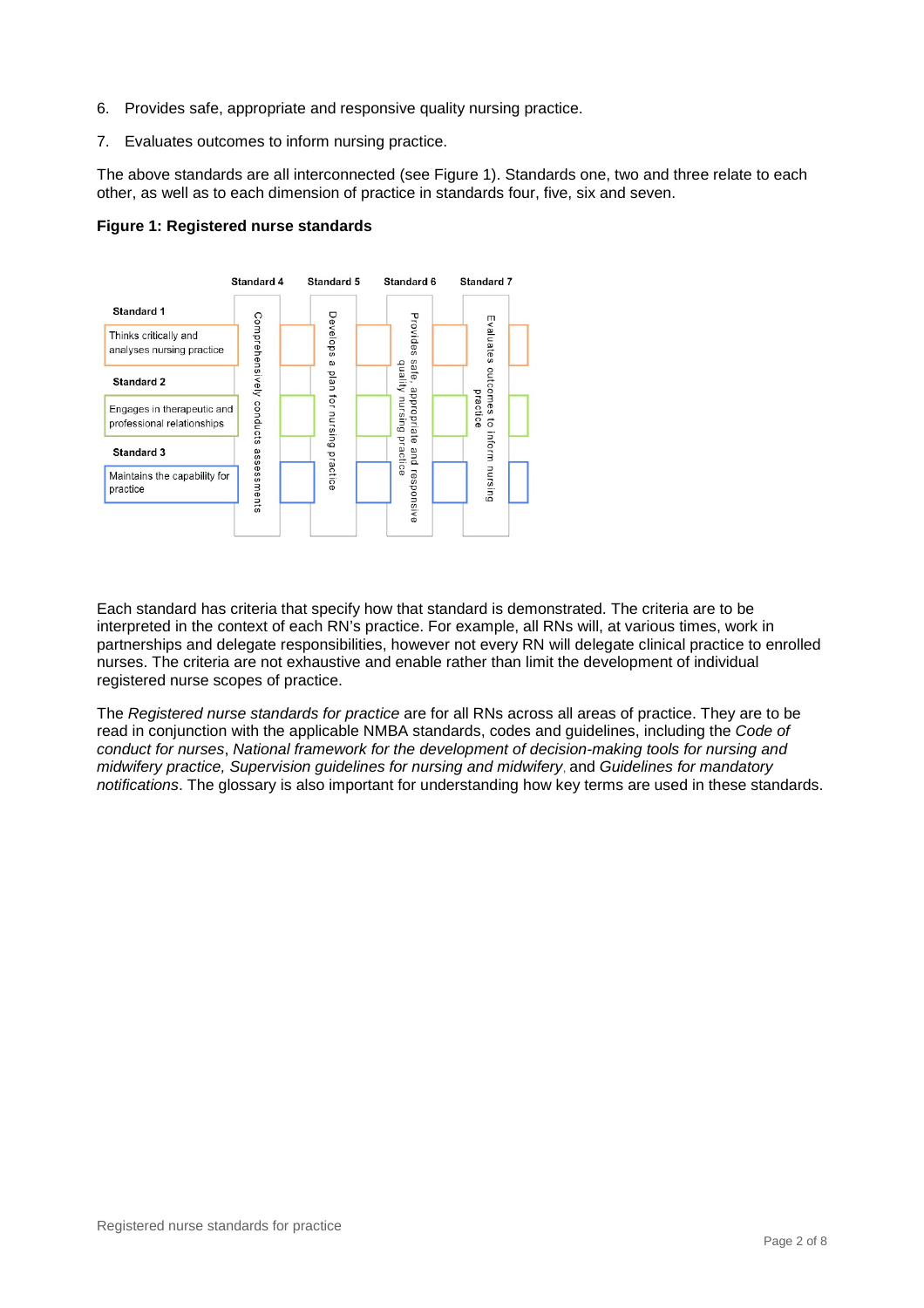- 6. Provides safe, appropriate and responsive quality nursing practice.
- 7. Evaluates outcomes to inform nursing practice.

The above standards are all interconnected (see Figure 1). Standards one, two and three relate to each other, as well as to each dimension of practice in standards four, five, six and seven.





Each standard has criteria that specify how that standard is demonstrated. The criteria are to be interpreted in the context of each RN's practice. For example, all RNs will, at various times, work in partnerships and delegate responsibilities, however not every RN will delegate clinical practice to enrolled nurses. The criteria are not exhaustive and enable rather than limit the development of individual registered nurse scopes of practice.

The *Registered nurse standards for practice* are for all RNs across all areas of practice. They are to be read in conjunction with the applicable NMBA standards, codes and guidelines, including the *Code of conduct for nurses*, *National framework for the development of decision-making tools for nursing and midwifery practice, Supervision guidelines for nursing and midwifery*, and *Guidelines for mandatory notifications*. The glossary is also important for understanding how key terms are used in these standards.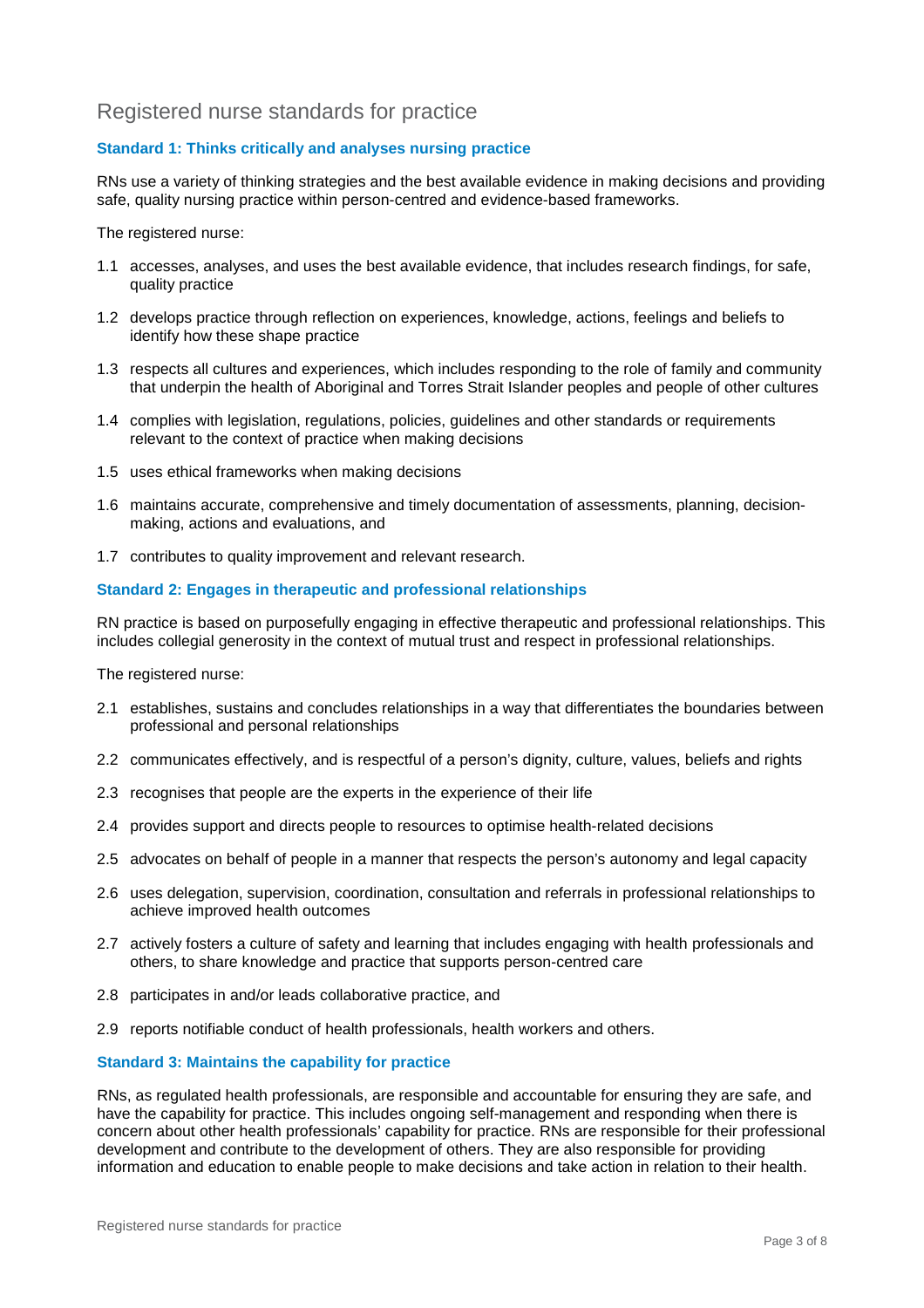# Registered nurse standards for practice

### **Standard 1: Thinks critically and analyses nursing practice**

RNs use a variety of thinking strategies and the best available evidence in making decisions and providing safe, quality nursing practice within person-centred and evidence-based frameworks.

The registered nurse:

- 1.1 accesses, analyses, and uses the best available evidence, that includes research findings, for safe, quality practice
- 1.2 develops practice through reflection on experiences, knowledge, actions, feelings and beliefs to identify how these shape practice
- 1.3 respects all cultures and experiences, which includes responding to the role of family and community that underpin the health of Aboriginal and Torres Strait Islander peoples and people of other cultures
- 1.4 complies with legislation, regulations, policies, guidelines and other standards or requirements relevant to the context of practice when making decisions
- 1.5 uses ethical frameworks when making decisions
- 1.6 maintains accurate, comprehensive and timely documentation of assessments, planning, decisionmaking, actions and evaluations, and
- 1.7 contributes to quality improvement and relevant research.

#### **Standard 2: Engages in therapeutic and professional relationships**

RN practice is based on purposefully engaging in effective therapeutic and professional relationships. This includes collegial generosity in the context of mutual trust and respect in professional relationships.

The registered nurse:

- 2.1 establishes, sustains and concludes relationships in a way that differentiates the boundaries between professional and personal relationships
- 2.2 communicates effectively, and is respectful of a person's dignity, culture, values, beliefs and rights
- 2.3 recognises that people are the experts in the experience of their life
- 2.4 provides support and directs people to resources to optimise health-related decisions
- 2.5 advocates on behalf of people in a manner that respects the person's autonomy and legal capacity
- 2.6 uses delegation, supervision, coordination, consultation and referrals in professional relationships to achieve improved health outcomes
- 2.7 actively fosters a culture of safety and learning that includes engaging with health professionals and others, to share knowledge and practice that supports person-centred care
- 2.8 participates in and/or leads collaborative practice, and
- 2.9 reports notifiable conduct of health professionals, health workers and others.

#### **Standard 3: Maintains the capability for practice**

RNs, as regulated health professionals, are responsible and accountable for ensuring they are safe, and have the capability for practice. This includes ongoing self-management and responding when there is concern about other health professionals' capability for practice. RNs are responsible for their professional development and contribute to the development of others. They are also responsible for providing information and education to enable people to make decisions and take action in relation to their health.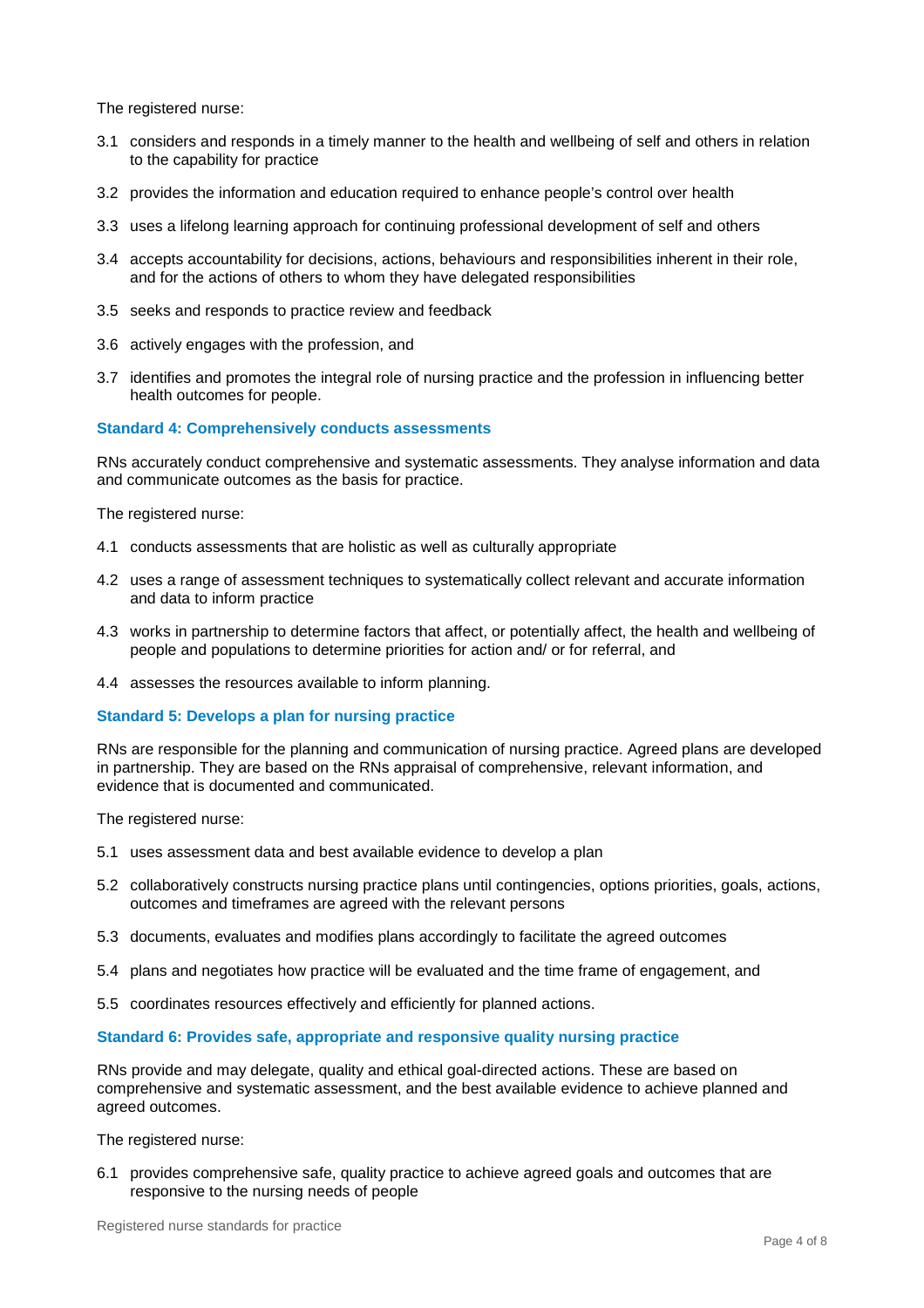The registered nurse:

- 3.1 considers and responds in a timely manner to the health and wellbeing of self and others in relation to the capability for practice
- 3.2 provides the information and education required to enhance people's control over health
- 3.3 uses a lifelong learning approach for continuing professional development of self and others
- 3.4 accepts accountability for decisions, actions, behaviours and responsibilities inherent in their role, and for the actions of others to whom they have delegated responsibilities
- 3.5 seeks and responds to practice review and feedback
- 3.6 actively engages with the profession, and
- 3.7 identifies and promotes the integral role of nursing practice and the profession in influencing better health outcomes for people.

#### **Standard 4: Comprehensively conducts assessments**

RNs accurately conduct comprehensive and systematic assessments. They analyse information and data and communicate outcomes as the basis for practice.

The registered nurse:

- 4.1 conducts assessments that are holistic as well as culturally appropriate
- 4.2 uses a range of assessment techniques to systematically collect relevant and accurate information and data to inform practice
- 4.3 works in partnership to determine factors that affect, or potentially affect, the health and wellbeing of people and populations to determine priorities for action and/ or for referral, and
- 4.4 assesses the resources available to inform planning.

#### **Standard 5: Develops a plan for nursing practice**

RNs are responsible for the planning and communication of nursing practice. Agreed plans are developed in partnership. They are based on the RNs appraisal of comprehensive, relevant information, and evidence that is documented and communicated.

The registered nurse:

- 5.1 uses assessment data and best available evidence to develop a plan
- 5.2 collaboratively constructs nursing practice plans until contingencies, options priorities, goals, actions, outcomes and timeframes are agreed with the relevant persons
- 5.3 documents, evaluates and modifies plans accordingly to facilitate the agreed outcomes
- 5.4 plans and negotiates how practice will be evaluated and the time frame of engagement, and
- 5.5 coordinates resources effectively and efficiently for planned actions.

#### **Standard 6: Provides safe, appropriate and responsive quality nursing practice**

RNs provide and may delegate, quality and ethical goal-directed actions. These are based on comprehensive and systematic assessment, and the best available evidence to achieve planned and agreed outcomes.

The registered nurse:

6.1 provides comprehensive safe, quality practice to achieve agreed goals and outcomes that are responsive to the nursing needs of people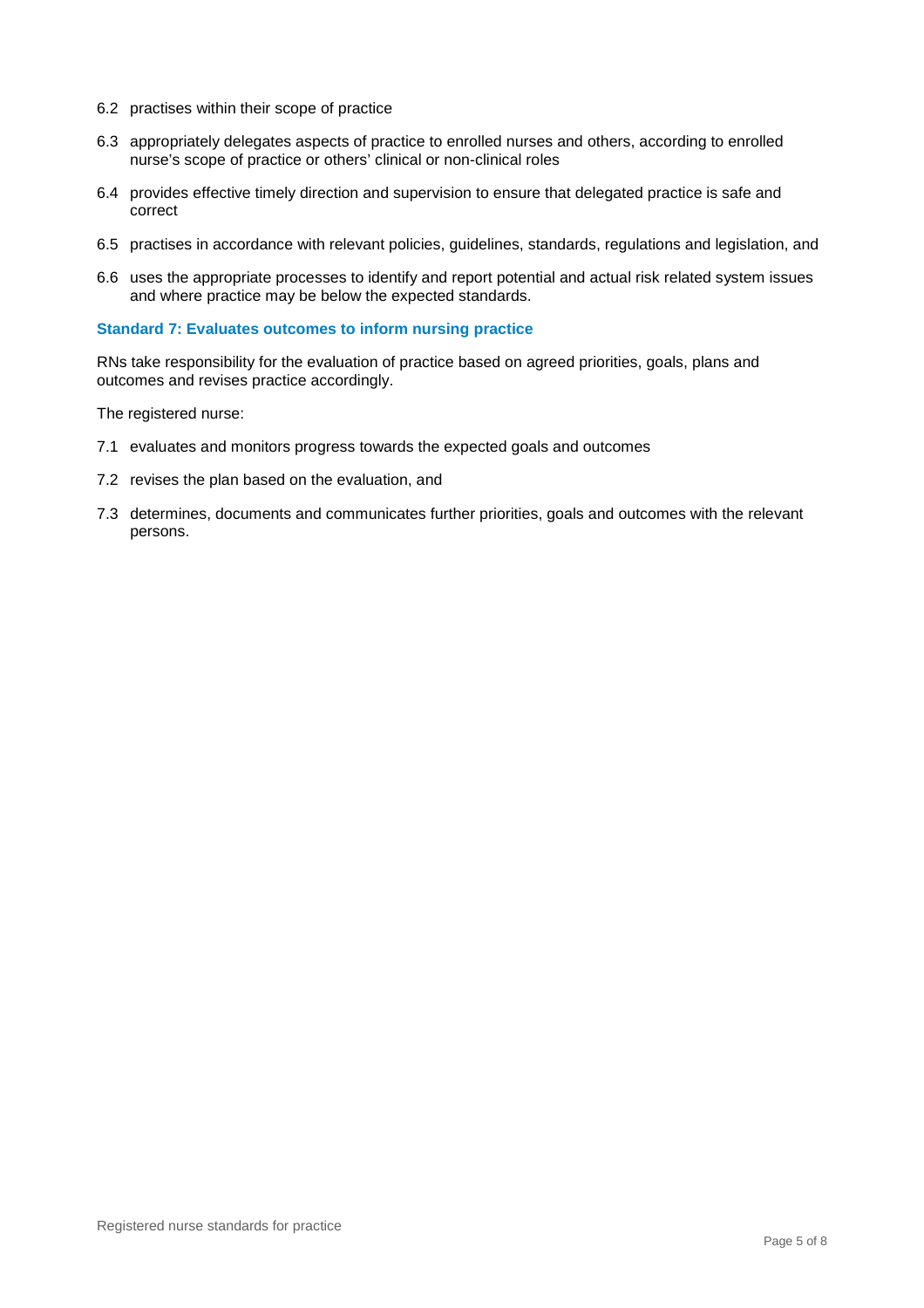- 6.2 practises within their scope of practice
- 6.3 appropriately delegates aspects of practice to enrolled nurses and others, according to enrolled nurse's scope of practice or others' clinical or non-clinical roles
- 6.4 provides effective timely direction and supervision to ensure that delegated practice is safe and correct
- 6.5 practises in accordance with relevant policies, guidelines, standards, regulations and legislation, and
- 6.6 uses the appropriate processes to identify and report potential and actual risk related system issues and where practice may be below the expected standards.

#### **Standard 7: Evaluates outcomes to inform nursing practice**

RNs take responsibility for the evaluation of practice based on agreed priorities, goals, plans and outcomes and revises practice accordingly.

The registered nurse:

- 7.1 evaluates and monitors progress towards the expected goals and outcomes
- 7.2 revises the plan based on the evaluation, and
- 7.3 determines, documents and communicates further priorities, goals and outcomes with the relevant persons.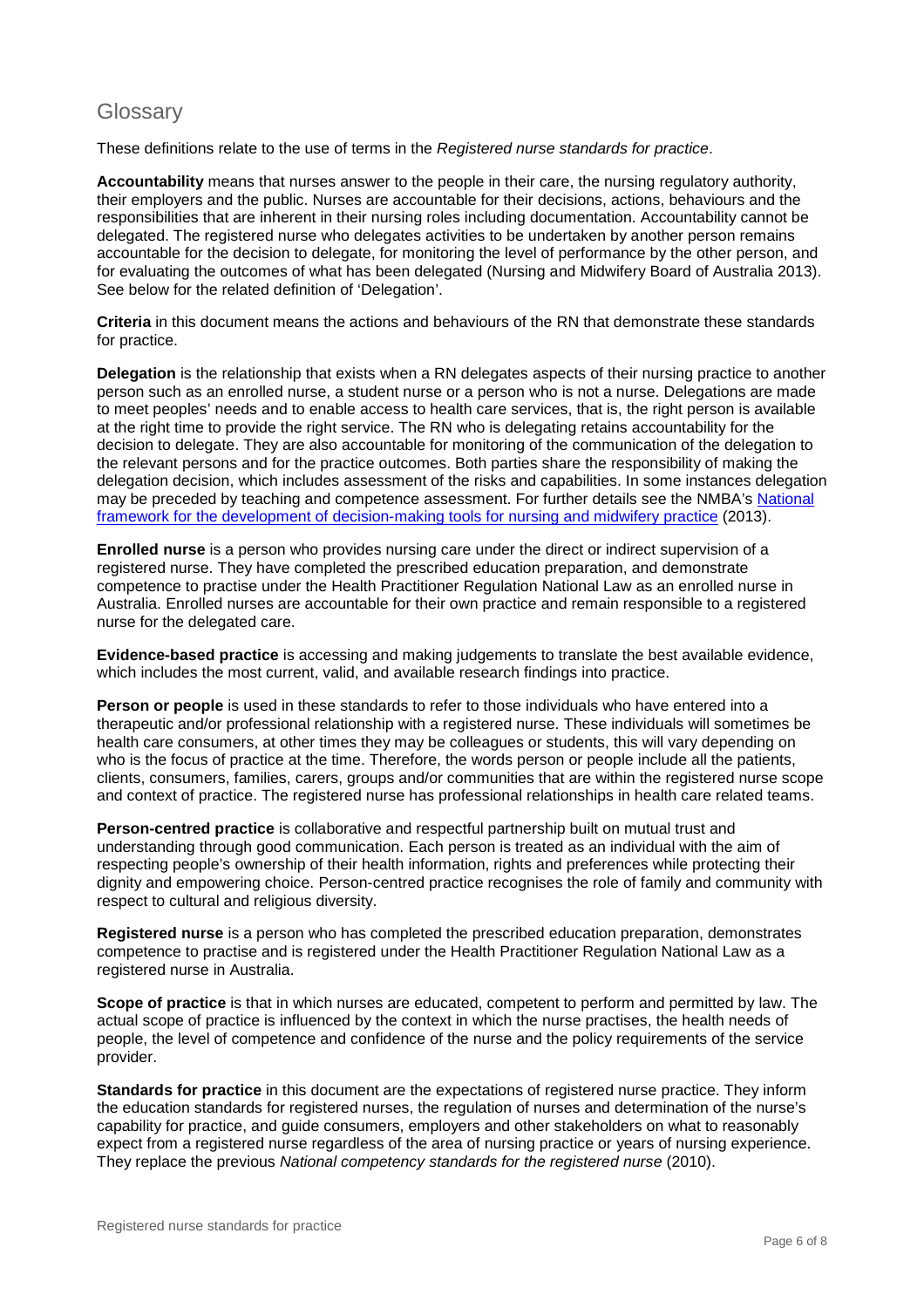## **Glossary**

These definitions relate to the use of terms in the *Registered nurse standards for practice*.

**Accountability** means that nurses answer to the people in their care, the nursing regulatory authority, their employers and the public. Nurses are accountable for their decisions, actions, behaviours and the responsibilities that are inherent in their nursing roles including documentation. Accountability cannot be delegated. The registered nurse who delegates activities to be undertaken by another person remains accountable for the decision to delegate, for monitoring the level of performance by the other person, and for evaluating the outcomes of what has been delegated (Nursing and Midwifery Board of Australia 2013). See below for the related definition of 'Delegation'.

**Criteria** in this document means the actions and behaviours of the RN that demonstrate these standards for practice.

**Delegation** is the relationship that exists when a RN delegates aspects of their nursing practice to another person such as an enrolled nurse, a student nurse or a person who is not a nurse. Delegations are made to meet peoples' needs and to enable access to health care services, that is, the right person is available at the right time to provide the right service. The RN who is delegating retains accountability for the decision to delegate. They are also accountable for monitoring of the communication of the delegation to the relevant persons and for the practice outcomes. Both parties share the responsibility of making the delegation decision, which includes assessment of the risks and capabilities. In some instances delegation may be preceded by teaching and competence assessment. For further details see the NMBA's National [framework for the development of decision-making tools for nursing and midwifery practice](http://www.nursingmidwiferyboard.gov.au/Codes-Guidelines-Statements/Frameworks.aspx) (2013).

**Enrolled nurse** is a person who provides nursing care under the direct or indirect supervision of a registered nurse. They have completed the prescribed education preparation, and demonstrate competence to practise under the Health Practitioner Regulation National Law as an enrolled nurse in Australia. Enrolled nurses are accountable for their own practice and remain responsible to a registered nurse for the delegated care.

**Evidence-based practice** is accessing and making judgements to translate the best available evidence, which includes the most current, valid, and available research findings into practice.

**Person or people** is used in these standards to refer to those individuals who have entered into a therapeutic and/or professional relationship with a registered nurse. These individuals will sometimes be health care consumers, at other times they may be colleagues or students, this will vary depending on who is the focus of practice at the time. Therefore, the words person or people include all the patients, clients, consumers, families, carers, groups and/or communities that are within the registered nurse scope and context of practice. The registered nurse has professional relationships in health care related teams.

**Person-centred practice** is collaborative and respectful partnership built on mutual trust and understanding through good communication. Each person is treated as an individual with the aim of respecting people's ownership of their health information, rights and preferences while protecting their dignity and empowering choice. Person-centred practice recognises the role of family and community with respect to cultural and religious diversity.

**Registered nurse** is a person who has completed the prescribed education preparation, demonstrates competence to practise and is registered under the Health Practitioner Regulation National Law as a registered nurse in Australia.

**Scope of practice** is that in which nurses are educated, competent to perform and permitted by law. The actual scope of practice is influenced by the context in which the nurse practises, the health needs of people, the level of competence and confidence of the nurse and the policy requirements of the service provider.

**Standards for practice** in this document are the expectations of registered nurse practice. They inform the education standards for registered nurses, the regulation of nurses and determination of the nurse's capability for practice, and guide consumers, employers and other stakeholders on what to reasonably expect from a registered nurse regardless of the area of nursing practice or years of nursing experience. They replace the previous *National competency standards for the registered nurse* (2010).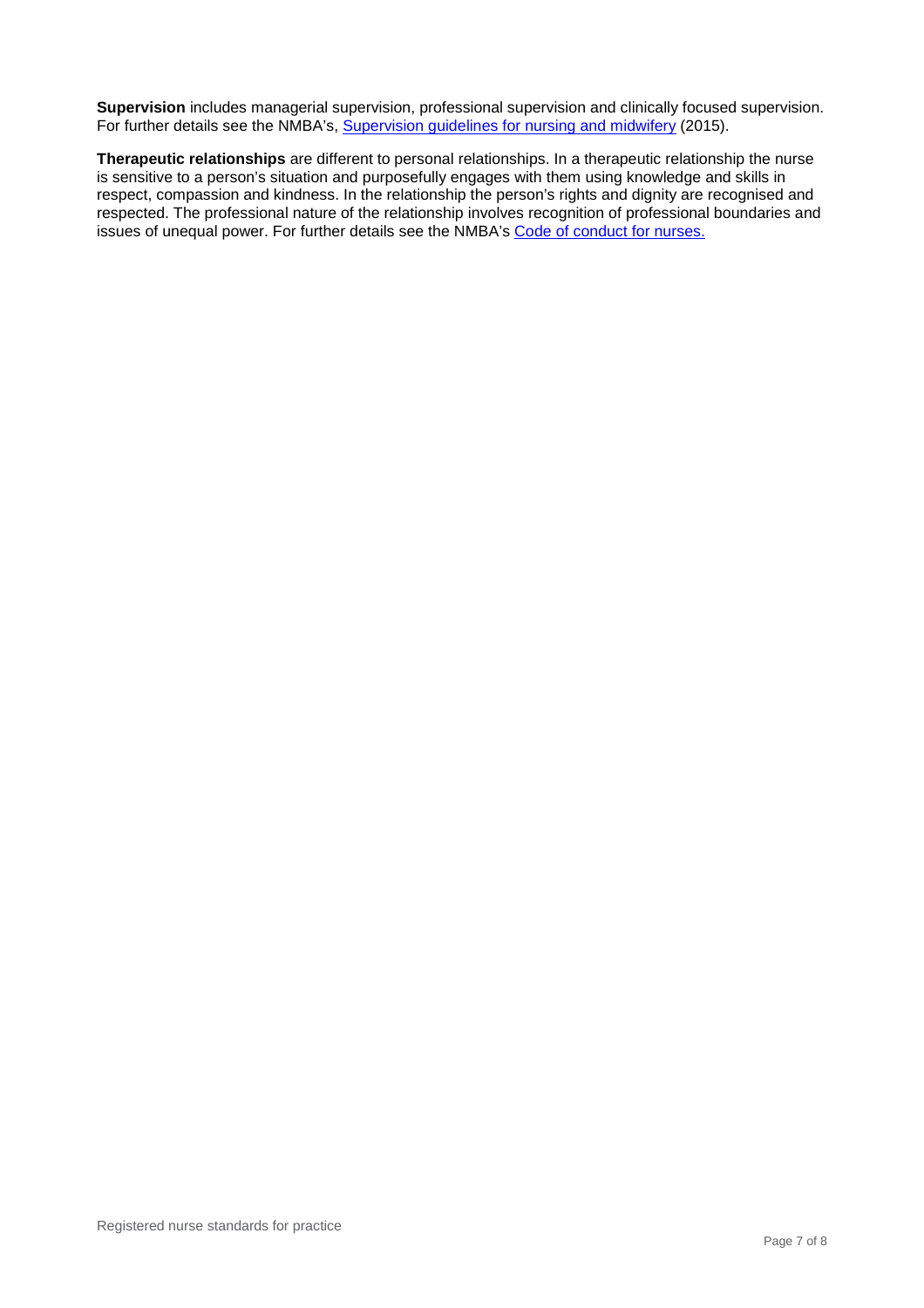**Supervision** includes managerial supervision, professional supervision and clinically focused supervision. For further details see the NMBA's, [Supervision guidelines for nursing and midwifery](http://www.nursingmidwiferyboard.gov.au/Registration-and-Endorsement/reentry-to-practice.aspx) (2015).

**Therapeutic relationships** are different to personal relationships. In a therapeutic relationship the nurse is sensitive to a person's situation and purposefully engages with them using knowledge and skills in respect, compassion and kindness. In the relationship the person's rights and dignity are recognised and respected. The professional nature of the relationship involves recognition of professional boundaries and issues of unequal power. For further details see the NMBA's [Code of conduct for nurses.](http://www.nursingmidwiferyboard.gov.au/Codes-Guidelines-Statements/Professional-standards.aspx)